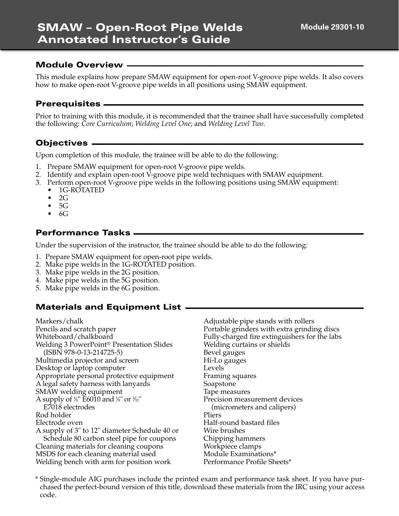This module explains how prepare SMAW equipment for open-root V-groove pipe welds. It also covers how to make open-root V-groove pipe welds in all positions using SMAW equipment.

#### **Prerequisites**

Prior to training with this module, it is recommended that the trainee shall have successfully completed the following: *Core Curriculum*; *Welding Level One*; and *Welding Level Two*.

#### **Objectives**

Upon completion of this module, the trainee will be able to do the following:

- 1. Prepare SMAW equipment for open-root V-groove pipe welds.
- 2. Identify and explain open-root V-groove pipe weld techniques with SMAW equipment.
- 3. Perform open-root V-groove pipe welds in the following positions using SMAW equipment:
- 1G-ROTATED
	- 2G
	- $5G$
	- 6G

#### **Performance Tasks**

Under the supervision of the instructor, the trainee should be able to do the following:

- 1. Prepare SMAW equipment for open-root pipe welds.
- 2. Make pipe welds in the 1G-ROTATED position.
- 3. Make pipe welds in the 2G position.
- 4. Make pipe welds in the 5G position.
- 5. Make pipe welds in the 6G position.

### **Materials and Equipment List**

Markers/chalk Pencils and scratch paper Whiteboard/chalkboard Welding 3 PowerPoint® Presentation Slides (ISBN 978-0-13-214725-5) Multimedia projector and screen Desktop or laptop computer Appropriate personal protective equipment A legal safety harness with lanyards SMAW welding equipment A supply of 1⁄8" E6010 and 1⁄8" or 3⁄32" E7018 electrodes Rod holder Electrode oven A supply of 3" to 12" diameter Schedule 40 or Schedule 80 carbon steel pipe for coupons Cleaning materials for cleaning coupons MSDS for each cleaning material used Welding bench with arm for position work

Adjustable pipe stands with rollers Portable grinders with extra grinding discs Fully-charged fire extinguishers for the labs Welding curtains or shields Bevel gauges Hi-Lo gauges Levels Framing squares Soapstone Tape measures Precision measurement devices (micrometers and calipers) Pliers Half-round bastard files Wire brushes Chipping hammers Workpiece clamps Module Examinations\* Performance Profile Sheets\*

\* Single-module AIG purchases include the printed exam and performance task sheet. If you have purchased the perfect-bound version of this title, download these materials from the IRC using your access code.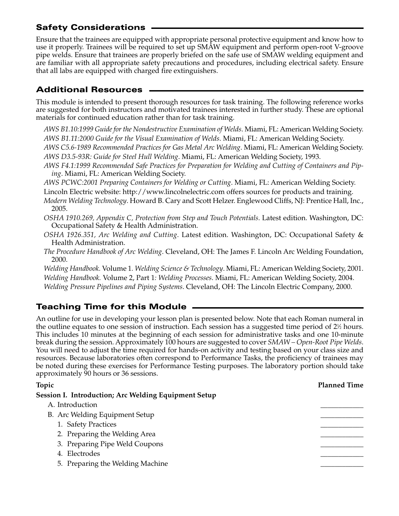## **Safety Considerations**

Ensure that the trainees are equipped with appropriate personal protective equipment and know how to use it properly. Trainees will be required to set up SMAW equipment and perform open-root V-groove pipe welds. Ensure that trainees are properly briefed on the safe use of SMAW welding equipment and are familiar with all appropriate safety precautions and procedures, including electrical safety. Ensure that all labs are equipped with charged fire extinguishers.

## **Additional Resources**

This module is intended to present thorough resources for task training. The following reference works are suggested for both instructors and motivated trainees interested in further study. These are optional materials for continued education rather than for task training.

*AWS B1.10:1999 Guide for the Nondestructive Examination of Welds*. Miami, FL: American Welding Society. *AWS B1.11:2000 Guide for the Visual Examination of Welds*. Miami, FL: American Welding Society.

*AWS C5.6-1989 Recommended Practices for Gas Metal Arc Welding*. Miami, FL: American Welding Society. *AWS D3.5-93R: Guide for Steel Hull Welding*. Miami, FL: American Welding Society, 1993.

*AWS F4.1:1999 Recommended Safe Practices for Preparation for Welding and Cutting of Containers and Piping*. Miami, FL: American Welding Society.

*AWS PCWC:2001 Preparing Containers for Welding or Cutting*. Miami, FL: American Welding Society. Lincoln Electric website: http://www.lincolnelectric.com offers sources for products and training.

*Modern Welding Technology*. Howard B. Cary and Scott Helzer. Englewood Cliffs, NJ: Prentice Hall, Inc., 2005.

*OSHA 1910.269, Appendix C, Protection from Step and Touch Potentials*. Latest edition. Washington, DC: Occupational Safety & Health Administration.

- *OSHA 1926.351, Arc Welding and Cutting*. Latest edition. Washington, DC: Occupational Safety & Health Administration.
- *The Procedure Handbook of Arc Welding*. Cleveland, OH: The James F. Lincoln Arc Welding Foundation, 2000.

*Welding Handbook.* Volume 1*. Welding Science & Technology*. Miami, FL: American Welding Society, 2001. *Welding Handbook.* Volume 2, Part 1*: Welding Processes*. Miami, FL: American Welding Society, 2004. *Welding Pressure Pipelines and Piping Systems*. Cleveland, OH: The Lincoln Electric Company, 2000.

# **Teaching Time for this Module**

An outline for use in developing your lesson plan is presented below. Note that each Roman numeral in the outline equates to one session of instruction. Each session has a suggested time period of 2½ hours. This includes 10 minutes at the beginning of each session for administrative tasks and one 10-minute break during the session. Approximately 100 hours are suggested to cover *SMAW – Open-Root Pipe Welds*. You will need to adjust the time required for hands-on activity and testing based on your class size and resources. Because laboratories often correspond to Performance Tasks, the proficiency of trainees may be noted during these exercises for Performance Testing purposes. The laboratory portion should take approximately 90 hours or 36 sessions.

| Topic                                                | <b>Planned Time</b> |
|------------------------------------------------------|---------------------|
| Session I. Introduction; Arc Welding Equipment Setup |                     |
| A. Introduction                                      |                     |
| B. Arc Welding Equipment Setup                       |                     |
| 1. Safety Practices                                  |                     |
| 2. Preparing the Welding Area                        |                     |
| 3. Preparing Pipe Weld Coupons                       |                     |
| 4. Electrodes                                        |                     |
| 5. Preparing the Welding Machine                     |                     |
|                                                      |                     |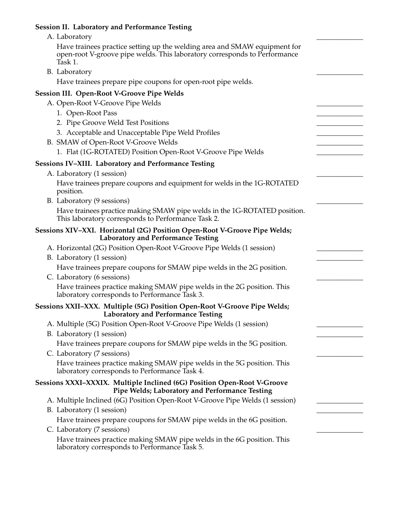# **Session II. Laboratory and Performance Testing**

| A. Laboratory                                                                                                                                                     |  |
|-------------------------------------------------------------------------------------------------------------------------------------------------------------------|--|
| Have trainees practice setting up the welding area and SMAW equipment for<br>open-root V-groove pipe welds. This laboratory corresponds to Performance<br>Task 1. |  |
| B. Laboratory                                                                                                                                                     |  |
| Have trainees prepare pipe coupons for open-root pipe welds.                                                                                                      |  |
| <b>Session III. Open-Root V-Groove Pipe Welds</b>                                                                                                                 |  |
| A. Open-Root V-Groove Pipe Welds                                                                                                                                  |  |
| 1. Open-Root Pass                                                                                                                                                 |  |
| 2. Pipe Groove Weld Test Positions                                                                                                                                |  |
| 3. Acceptable and Unacceptable Pipe Weld Profiles                                                                                                                 |  |
| B. SMAW of Open-Root V-Groove Welds                                                                                                                               |  |
| 1. Flat (1G-ROTATED) Position Open-Root V-Groove Pipe Welds                                                                                                       |  |
| Sessions IV-XIII. Laboratory and Performance Testing                                                                                                              |  |
| A. Laboratory (1 session)                                                                                                                                         |  |
| Have trainees prepare coupons and equipment for welds in the 1G-ROTATED<br>position.                                                                              |  |
| B. Laboratory (9 sessions)                                                                                                                                        |  |
| Have trainees practice making SMAW pipe welds in the 1G-ROTATED position.<br>This laboratory corresponds to Performance Task 2.                                   |  |
| Sessions XIV-XXI. Horizontal (2G) Position Open-Root V-Groove Pipe Welds;<br><b>Laboratory and Performance Testing</b>                                            |  |
| A. Horizontal (2G) Position Open-Root V-Groove Pipe Welds (1 session)                                                                                             |  |
| B. Laboratory (1 session)                                                                                                                                         |  |
| Have trainees prepare coupons for SMAW pipe welds in the 2G position.                                                                                             |  |
| C. Laboratory (6 sessions)                                                                                                                                        |  |
| Have trainees practice making SMAW pipe welds in the 2G position. This<br>laboratory corresponds to Performance Task 3.                                           |  |
| Sessions XXII-XXX. Multiple (5G) Position Open-Root V-Groove Pipe Welds;<br><b>Laboratory and Performance Testing</b>                                             |  |
| A. Multiple (5G) Position Open-Root V-Groove Pipe Welds (1 session)                                                                                               |  |
| B. Laboratory (1 session)                                                                                                                                         |  |
| Have trainees prepare coupons for SMAW pipe welds in the 5G position.                                                                                             |  |
| C. Laboratory (7 sessions)                                                                                                                                        |  |
| Have trainees practice making SMAW pipe welds in the 5G position. This<br>laboratory corresponds to Performance Task 4.                                           |  |
| Sessions XXXI-XXXIX. Multiple Inclined (6G) Position Open-Root V-Groove<br>Pipe Welds; Laboratory and Performance Testing                                         |  |
| A. Multiple Inclined (6G) Position Open-Root V-Groove Pipe Welds (1 session)                                                                                      |  |
| B. Laboratory (1 session)                                                                                                                                         |  |
| Have trainees prepare coupons for SMAW pipe welds in the 6G position.                                                                                             |  |
| C. Laboratory (7 sessions)                                                                                                                                        |  |
| Have trainees practice making SMAW pipe welds in the 6G position. This<br>laboratory corresponds to Performance Task 5.                                           |  |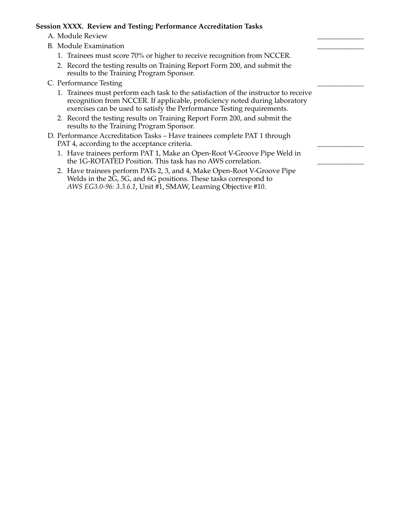#### **Session XXXX. Review and Testing; Performance Accreditation Tasks**

- A. Module Review
- B. Module Examination
	- 1. Trainees must score 70% or higher to receive recognition from NCCER.
	- 2. Record the testing results on Training Report Form 200, and submit the results to the Training Program Sponsor.
- C. Performance Testing
	- 1. Trainees must perform each task to the satisfaction of the instructor to receive recognition from NCCER. If applicable, proficiency noted during laboratory exercises can be used to satisfy the Performance Testing requirements.
	- 2. Record the testing results on Training Report Form 200, and submit the results to the Training Program Sponsor.
- D. Performance Accreditation Tasks Have trainees complete PAT 1 through PAT 4, according to the acceptance criteria.
	- 1. Have trainees perform PAT 1, Make an Open-Root V-Groove Pipe Weld in the 1G-ROTATED Position. This task has no AWS correlation.
	- 2. Have trainees perform PATs 2, 3, and 4, Make Open-Root V-Groove Pipe Welds in the 2G, 5G, and 6G positions. These tasks correspond to *AWS EG3.0-96: 3.3.6.1*, Unit #1, SMAW, Learning Objective #10.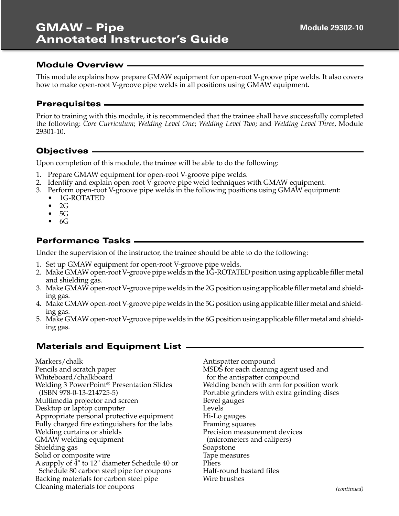This module explains how prepare GMAW equipment for open-root V-groove pipe welds. It also covers how to make open-root V-groove pipe welds in all positions using GMAW equipment.

#### **Prerequisites**

Prior to training with this module, it is recommended that the trainee shall have successfully completed the following: *Core Curriculum*; *Welding Level One*; *Welding Level Two*; and *Welding Level Three*, Module 29301-10.

#### **Objectives**

Upon completion of this module, the trainee will be able to do the following:

- 1. Prepare GMAW equipment for open-root V-groove pipe welds.
- 2. Identify and explain open-root V-groove pipe weld techniques with GMAW equipment.
- 3. Perform open-root V-groove pipe welds in the following positions using GMAW equipment:
	- 1G-ROTATED
	- 2G
	- $5G$
	- $\bullet$  6G

#### **Performance Tasks**

Under the supervision of the instructor, the trainee should be able to do the following:

- 1. Set up GMAW equipment for open-root V-groove pipe welds.
- 2. Make GMAW open-root V-groove pipe welds in the 1G-ROTATED position using applicable filler metal and shielding gas.
- 3. Make GMAW open-root V-groove pipe welds in the 2G position using applicable filler metal and shielding gas.
- 4. Make GMAW open-root V-groove pipe welds in the 5G position using applicable filler metal and shielding gas.
- 5. Make GMAW open-root V-groove pipe welds in the 6G position using applicable filler metal and shielding gas.

#### **Materials and Equipment List**

Markers/chalk Pencils and scratch paper Whiteboard/chalkboard Welding 3 PowerPoint® Presentation Slides (ISBN 978-0-13-214725-5) Multimedia projector and screen Desktop or laptop computer Appropriate personal protective equipment Fully charged fire extinguishers for the labs Welding curtains or shields GMAW welding equipment Shielding gas Solid or composite wire A supply of 4" to 12" diameter Schedule 40 or Schedule 80 carbon steel pipe for coupons Backing materials for carbon steel pipe Cleaning materials for coupons

Antispatter compound MSDS for each cleaning agent used and for the antispatter compound Welding bench with arm for position work Portable grinders with extra grinding discs Bevel gauges Levels Hi-Lo gauges Framing squares Precision measurement devices (micrometers and calipers) Soapstone Tape measures Pliers Half-round bastard files Wire brushes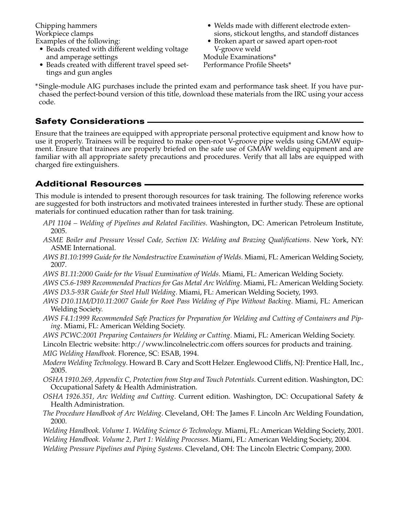Chipping hammers Workpiece clamps Examples of the following:

- Beads created with different welding voltage and amperage settings
- Beads created with different travel speed settings and gun angles
- Welds made with different electrode extensions, stickout lengths, and standoff distances
- Broken apart or sawed apart open-root V-groove weld

Module Examinations\* Performance Profile Sheets\*

\* Single-module AIG purchases include the printed exam and performance task sheet. If you have purchased the perfect-bound version of this title, download these materials from the IRC using your access code.

### **Safety Considerations**

Ensure that the trainees are equipped with appropriate personal protective equipment and know how to use it properly. Trainees will be required to make open-root V-groove pipe welds using GMAW equipment. Ensure that trainees are properly briefed on the safe use of GMAW welding equipment and are familiar with all appropriate safety precautions and procedures. Verify that all labs are equipped with charged fire extinguishers.

### **Additional Resources**

This module is intended to present thorough resources for task training. The following reference works are suggested for both instructors and motivated trainees interested in further study. These are optional materials for continued education rather than for task training.

- *API 1104 Welding of Pipelines and Related Facilities*. Washington, DC: American Petroleum Institute, 2005.
- *ASME Boiler and Pressure Vessel Code, Section IX: Welding and Brazing Qualifications*. New York, NY: ASME International.
- *AWS B1.10:1999 Guide for the Nondestructive Examination of Welds*. Miami, FL: American Welding Society, 2007.
- *AWS B1.11:2000 Guide for the Visual Examination of Welds*. Miami, FL: American Welding Society.
- *AWS C5.6-1989 Recommended Practices for Gas Metal Arc Welding*. Miami, FL: American Welding Society.
- *AWS D3.5-93R Guide for Steel Hull Welding*. Miami, FL: American Welding Society, 1993.
- *AWS D10.11M/D10.11:2007 Guide for Root Pass Welding of Pipe Without Backing*. Miami, FL: American Welding Society.
- *AWS F4.1:1999 Recommended Safe Practices for Preparation for Welding and Cutting of Containers and Piping*. Miami, FL: American Welding Society.
- *AWS PCWC:2001 Preparing Containers for Welding or Cutting*. Miami, FL: American Welding Society.
- Lincoln Electric website: http://www.lincolnelectric.com offers sources for products and training. *MIG Welding Handbook*. Florence, SC: ESAB, 1994.
- *Modern Welding Technology*. Howard B. Cary and Scott Helzer. Englewood Cliffs, NJ: Prentice Hall, Inc., 2005.
- *OSHA 1910.269, Appendix C, Protection from Step and Touch Potentials*. Current edition. Washington, DC: Occupational Safety & Health Administration.
- *OSHA 1926.351, Arc Welding and Cutting*. Current edition. Washington, DC: Occupational Safety & Health Administration.
- *The Procedure Handbook of Arc Welding*. Cleveland, OH: The James F. Lincoln Arc Welding Foundation, 2000.
- *Welding Handbook. Volume 1. Welding Science & Technology*. Miami, FL: American Welding Society, 2001. *Welding Handbook. Volume 2, Part 1: Welding Processes*. Miami, FL: American Welding Society, 2004.
- *Welding Pressure Pipelines and Piping Systems*. Cleveland, OH: The Lincoln Electric Company, 2000.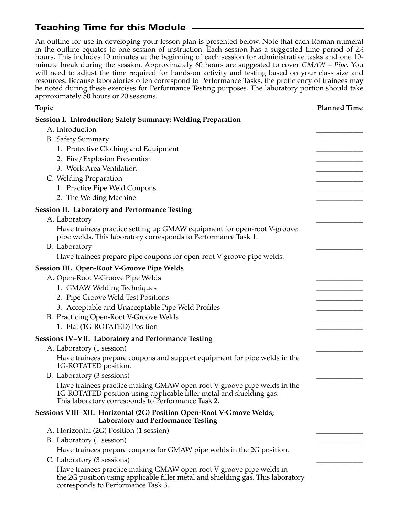### **Teaching Time for this Module**

An outline for use in developing your lesson plan is presented below. Note that each Roman numeral in the outline equates to one session of instruction. Each session has a suggested time period of 2½  $\,$ hours. This includes 10 minutes at the beginning of each session for administrative tasks and one 10 minute break during the session. Approximately 60 hours are suggested to cover *GMAW – Pipe*. You will need to adjust the time required for hands-on activity and testing based on your class size and resources. Because laboratories often correspond to Performance Tasks, the proficiency of trainees may be noted during these exercises for Performance Testing purposes. The laboratory portion should take approximately 50 hours or 20 sessions.

| Topic                                                                                                                                                                                                 | <b>Planned Time</b> |
|-------------------------------------------------------------------------------------------------------------------------------------------------------------------------------------------------------|---------------------|
| <b>Session I. Introduction; Safety Summary; Welding Preparation</b>                                                                                                                                   |                     |
| A. Introduction                                                                                                                                                                                       |                     |
| <b>B.</b> Safety Summary                                                                                                                                                                              |                     |
| 1. Protective Clothing and Equipment                                                                                                                                                                  |                     |
| 2. Fire/Explosion Prevention                                                                                                                                                                          |                     |
| 3. Work Area Ventilation                                                                                                                                                                              |                     |
| C. Welding Preparation                                                                                                                                                                                |                     |
| 1. Practice Pipe Weld Coupons                                                                                                                                                                         |                     |
| 2. The Welding Machine                                                                                                                                                                                |                     |
| <b>Session II. Laboratory and Performance Testing</b>                                                                                                                                                 |                     |
| A. Laboratory                                                                                                                                                                                         |                     |
| Have trainees practice setting up GMAW equipment for open-root V-groove<br>pipe welds. This laboratory corresponds to Performance Task 1.                                                             |                     |
| B. Laboratory                                                                                                                                                                                         |                     |
| Have trainees prepare pipe coupons for open-root V-groove pipe welds.                                                                                                                                 |                     |
| <b>Session III. Open-Root V-Groove Pipe Welds</b>                                                                                                                                                     |                     |
| A. Open-Root V-Groove Pipe Welds                                                                                                                                                                      |                     |
| 1. GMAW Welding Techniques                                                                                                                                                                            |                     |
| 2. Pipe Groove Weld Test Positions                                                                                                                                                                    |                     |
| 3. Acceptable and Unacceptable Pipe Weld Profiles                                                                                                                                                     |                     |
| B. Practicing Open-Root V-Groove Welds                                                                                                                                                                |                     |
| 1. Flat (1G-ROTATED) Position                                                                                                                                                                         |                     |
| Sessions IV-VII. Laboratory and Performance Testing                                                                                                                                                   |                     |
| A. Laboratory (1 session)                                                                                                                                                                             |                     |
| Have trainees prepare coupons and support equipment for pipe welds in the<br>1G-ROTATED position.                                                                                                     |                     |
| B. Laboratory (3 sessions)                                                                                                                                                                            |                     |
| Have trainees practice making GMAW open-root V-groove pipe welds in the<br>1G-ROTATED position using applicable filler metal and shielding gas.<br>This laboratory corresponds to Performance Task 2. |                     |
| Sessions VIII-XII. Horizontal (2G) Position Open-Root V-Groove Welds;<br><b>Laboratory and Performance Testing</b>                                                                                    |                     |
| A. Horizontal (2G) Position (1 session)                                                                                                                                                               |                     |
| B. Laboratory (1 session)                                                                                                                                                                             |                     |
| Have trainees prepare coupons for GMAW pipe welds in the 2G position.                                                                                                                                 |                     |
| C. Laboratory (3 sessions)                                                                                                                                                                            |                     |
| Have trainees practice making GMAW open-root V-groove pipe welds in<br>the 2G position using applicable filler metal and shielding gas. This laboratory<br>corresponds to Performance Task 3.         |                     |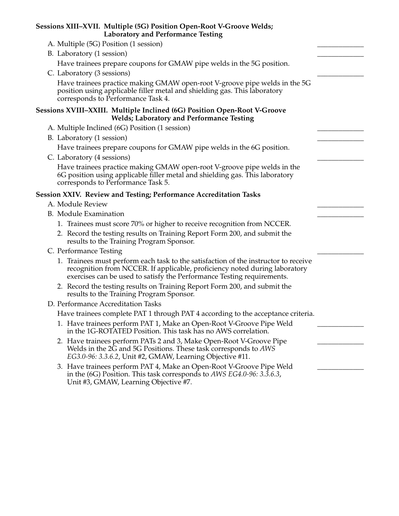| Sessions XIII-XVII. Multiple (5G) Position Open-Root V-Groove Welds;<br><b>Laboratory and Performance Testing</b>                                                                                                                           |  |
|---------------------------------------------------------------------------------------------------------------------------------------------------------------------------------------------------------------------------------------------|--|
| A. Multiple (5G) Position (1 session)                                                                                                                                                                                                       |  |
| B. Laboratory (1 session)                                                                                                                                                                                                                   |  |
| Have trainees prepare coupons for GMAW pipe welds in the 5G position.                                                                                                                                                                       |  |
| C. Laboratory (3 sessions)                                                                                                                                                                                                                  |  |
| Have trainees practice making GMAW open-root V-groove pipe welds in the 5G<br>position using applicable filler metal and shielding gas. This laboratory<br>corresponds to Performance Task 4.                                               |  |
| Sessions XVIII-XXIII. Multiple Inclined (6G) Position Open-Root V-Groove<br><b>Welds; Laboratory and Performance Testing</b>                                                                                                                |  |
| A. Multiple Inclined (6G) Position (1 session)                                                                                                                                                                                              |  |
| B. Laboratory (1 session)                                                                                                                                                                                                                   |  |
| Have trainees prepare coupons for GMAW pipe welds in the 6G position.                                                                                                                                                                       |  |
| C. Laboratory (4 sessions)                                                                                                                                                                                                                  |  |
| Have trainees practice making GMAW open-root V-groove pipe welds in the<br>6G position using applicable filler metal and shielding gas. This laboratory<br>corresponds to Performance Task 5.                                               |  |
| Session XXIV. Review and Testing; Performance Accreditation Tasks                                                                                                                                                                           |  |
| A. Module Review                                                                                                                                                                                                                            |  |
| <b>B.</b> Module Examination                                                                                                                                                                                                                |  |
| 1. Trainees must score 70% or higher to receive recognition from NCCER.                                                                                                                                                                     |  |
| 2. Record the testing results on Training Report Form 200, and submit the<br>results to the Training Program Sponsor.                                                                                                                       |  |
| C. Performance Testing                                                                                                                                                                                                                      |  |
| 1. Trainees must perform each task to the satisfaction of the instructor to receive<br>recognition from NCCER. If applicable, proficiency noted during laboratory<br>exercises can be used to satisfy the Performance Testing requirements. |  |
| 2. Record the testing results on Training Report Form 200, and submit the<br>results to the Training Program Sponsor.                                                                                                                       |  |
| D. Performance Accreditation Tasks                                                                                                                                                                                                          |  |
| Have trainees complete PAT 1 through PAT 4 according to the acceptance criteria.                                                                                                                                                            |  |
| 1. Have trainees perform PAT 1, Make an Open-Root V-Groove Pipe Weld<br>in the 1G-ROTATED Position. This task has no AWS correlation.                                                                                                       |  |
| 2. Have trainees perform PATs 2 and 3, Make Open-Root V-Groove Pipe<br>Welds in the 2G and 5G Positions. These task corresponds to AWS<br>EG3.0-96: 3.3.6.2, Unit #2, GMAW, Learning Objective #11.                                         |  |
| 3. Have trainees perform PAT 4, Make an Open-Root V-Groove Pipe Weld<br>in the $(6G)$ Position. This task corresponds to AWS EG4.0-96: 3.3.6.3,<br>Unit #3, GMAW, Learning Objective #7.                                                    |  |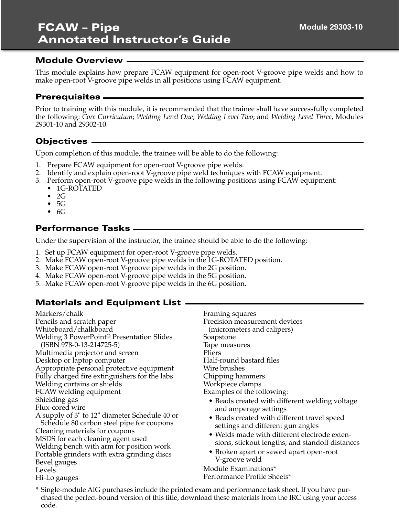This module explains how prepare FCAW equipment for open-root V-groove pipe welds and how to make open-root V-groove pipe welds in all positions using FCAW equipment.

### **Prerequisites**

Prior to training with this module, it is recommended that the trainee shall have successfully completed the following: *Core Curriculum*; *Welding Level One*; *Welding Level Two*; and *Welding Level Three*, Modules 29301-10 and 29302-10.

### **Objectives**

Upon completion of this module, the trainee will be able to do the following:

- 1. Prepare FCAW equipment for open-root V-groove pipe welds.
- 2. Identify and explain open-root V-groove pipe weld techniques with FCAW equipment.
- 3. Perform open-root V-groove pipe welds in the following positions using FCAW equipment:
	- 1G-ROTATED
	- $\bullet$  2G
	- 5G
	- $\bullet$  6G

#### **Performance Tasks**

Under the supervision of the instructor, the trainee should be able to do the following:

- 1. Set up FCAW equipment for open-root V-groove pipe welds.
- 2. Make FCAW open-root V-groove pipe welds in the 1G-ROTATED position.
- 3. Make FCAW open-root V-groove pipe welds in the 2G position.
- 4. Make FCAW open-root V-groove pipe welds in the 5G position.
- 5. Make FCAW open-root V-groove pipe welds in the 6G position.

### **Materials and Equipment List**

Markers/chalk Pencils and scratch paper Whiteboard/chalkboard Welding 3 PowerPoint® Presentation Slides (ISBN 978-0-13-214725-5) Multimedia projector and screen Desktop or laptop computer Appropriate personal protective equipment Fully charged fire extinguishers for the labs Welding curtains or shields FCAW welding equipment Shielding gas Flux-cored wire A supply of 3" to 12" diameter Schedule 40 or Schedule 80 carbon steel pipe for coupons Cleaning materials for coupons MSDS for each cleaning agent used Welding bench with arm for position work Portable grinders with extra grinding discs Bevel gauges Levels Hi-Lo gauges

Framing squares Precision measurement devices (micrometers and calipers) Soapstone Tape measures Pliers Half-round bastard files Wire brushes Chipping hammers Workpiece clamps Examples of the following:

- Beads created with different welding voltage and amperage settings
- Beads created with different travel speed settings and different gun angles
- Welds made with different electrode extensions, stickout lengths, and standoff distances
- Broken apart or sawed apart open-root V-groove weld

Module Examinations\* Performance Profile Sheets\*

\* Single-module AIG purchases include the printed exam and performance task sheet. If you have purchased the perfect-bound version of this title, download these materials from the IRC using your access code.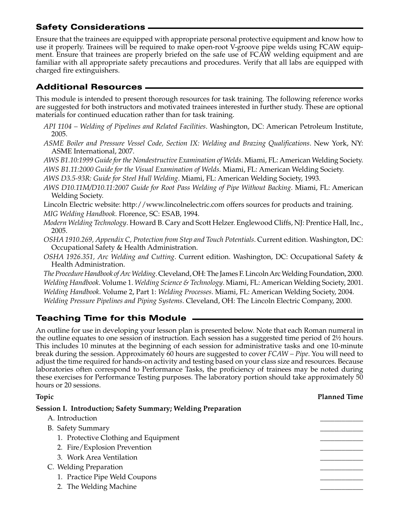### **Safety Considerations**

Ensure that the trainees are equipped with appropriate personal protective equipment and know how to use it properly. Trainees will be required to make open-root V-groove pipe welds using FCAW equipment. Ensure that trainees are properly briefed on the safe use of FCAW welding equipment and are familiar with all appropriate safety precautions and procedures. Verify that all labs are equipped with charged fire extinguishers.

### **Additional Resources**

This module is intended to present thorough resources for task training. The following reference works are suggested for both instructors and motivated trainees interested in further study. These are optional materials for continued education rather than for task training.

- *API 1104 Welding of Pipelines and Related Facilities*. Washington, DC: American Petroleum Institute, 2005.
- *ASME Boiler and Pressure Vessel Code, Section IX: Welding and Brazing Qualifications*. New York, NY: ASME International, 2007.

*AWS B1.10:1999 Guide for the Nondestructive Examination of Welds*. Miami, FL: American Welding Society. *AWS B1.11:2000 Guide for the Visual Examination of Welds*. Miami, FL: American Welding Society.

*AWS D3.5-93R: Guide for Steel Hull Welding*. Miami, FL: American Welding Society, 1993.

*AWS D10.11M/D10.11:2007 Guide for Root Pass Welding of Pipe Without Backing*. Miami, FL: American Welding Society.

Lincoln Electric website: http://www.lincolnelectric.com offers sources for products and training. *MIG Welding Handbook*. Florence, SC: ESAB, 1994.

- *Modern Welding Technology*. Howard B. Cary and Scott Helzer. Englewood Cliffs, NJ: Prentice Hall, Inc., 2005.
- *OSHA 1910.269, Appendix C, Protection from Step and Touch Potentials*. Current edition. Washington, DC: Occupational Safety & Health Administration.
- *OSHA 1926.351, Arc Welding and Cutting*. Current edition. Washington, DC: Occupational Safety & Health Administration.

*The Procedure Handbook of Arc Welding*. Cleveland, OH: The James F. Lincoln Arc Welding Foundation, 2000. *Welding Handbook*. Volume 1. *Welding Science & Technology*. Miami, FL: American Welding Society, 2001. *Welding Handbook*. Volume 2, Part 1: *Welding Processes*. Miami, FL: American Welding Society, 2004. *Welding Pressure Pipelines and Piping Systems*. Cleveland, OH: The Lincoln Electric Company, 2000.

# **Teaching Time for this Module**

An outline for use in developing your lesson plan is presented below. Note that each Roman numeral in the outline equates to one session of instruction. Each session has a suggested time period of 2½ hours. This includes 10 minutes at the beginning of each session for administrative tasks and one 10-minute break during the session. Approximately 60 hours are suggested to cover *FCAW – Pipe*. You will need to adjust the time required for hands-on activity and testing based on your class size and resources. Because laboratories often correspond to Performance Tasks, the proficiency of trainees may be noted during these exercises for Performance Testing purposes. The laboratory portion should take approximately 50 hours or 20 sessions.

#### **Topic Planned Time**

**Session I. Introduction; Safety Summary; Welding Preparation**

| A. Introduction                      |  |
|--------------------------------------|--|
| <b>B.</b> Safety Summary             |  |
| 1. Protective Clothing and Equipment |  |
| 2. Fire/Explosion Prevention         |  |
| 3. Work Area Ventilation             |  |
| C. Welding Preparation               |  |
| 1. Practice Pipe Weld Coupons        |  |
| 2. The Welding Machine               |  |
|                                      |  |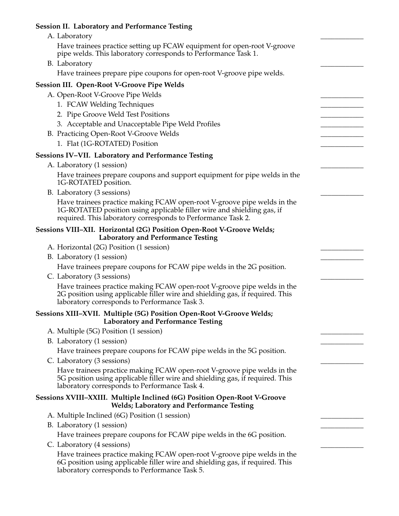# **Session II. Laboratory and Performance Testing**

| A. Laboratory                                                                                                                                                                                                     |  |
|-------------------------------------------------------------------------------------------------------------------------------------------------------------------------------------------------------------------|--|
| Have trainees practice setting up FCAW equipment for open-root V-groove<br>pipe welds. This laboratory corresponds to Performance Task 1.                                                                         |  |
| B. Laboratory                                                                                                                                                                                                     |  |
| Have trainees prepare pipe coupons for open-root V-groove pipe welds.                                                                                                                                             |  |
| <b>Session III. Open-Root V-Groove Pipe Welds</b>                                                                                                                                                                 |  |
| A. Open-Root V-Groove Pipe Welds                                                                                                                                                                                  |  |
| 1. FCAW Welding Techniques                                                                                                                                                                                        |  |
| 2. Pipe Groove Weld Test Positions                                                                                                                                                                                |  |
| 3. Acceptable and Unacceptable Pipe Weld Profiles                                                                                                                                                                 |  |
| B. Practicing Open-Root V-Groove Welds                                                                                                                                                                            |  |
| 1. Flat (1G-ROTATED) Position                                                                                                                                                                                     |  |
| Sessions IV-VII. Laboratory and Performance Testing                                                                                                                                                               |  |
| A. Laboratory (1 session)                                                                                                                                                                                         |  |
| Have trainees prepare coupons and support equipment for pipe welds in the<br>1G-ROTATED position.                                                                                                                 |  |
| B. Laboratory (3 sessions)                                                                                                                                                                                        |  |
| Have trainees practice making FCAW open-root V-groove pipe welds in the<br>1G-ROTATED position using applicable filler wire and shielding gas, if<br>required. This laboratory corresponds to Performance Task 2. |  |
| Sessions VIII-XII. Horizontal (2G) Position Open-Root V-Groove Welds;<br><b>Laboratory and Performance Testing</b>                                                                                                |  |
| A. Horizontal (2G) Position (1 session)                                                                                                                                                                           |  |
| B. Laboratory (1 session)                                                                                                                                                                                         |  |
| Have trainees prepare coupons for FCAW pipe welds in the 2G position.                                                                                                                                             |  |
| C. Laboratory (3 sessions)                                                                                                                                                                                        |  |
| Have trainees practice making FCAW open-root V-groove pipe welds in the<br>2G position using applicable filler wire and shielding gas, if required. This<br>laboratory corresponds to Performance Task 3.         |  |
| Sessions XIII-XVII. Multiple (5G) Position Open-Root V-Groove Welds;<br><b>Laboratory and Performance Testing</b>                                                                                                 |  |
| A. Multiple (5G) Position (1 session)                                                                                                                                                                             |  |
| B. Laboratory (1 session)                                                                                                                                                                                         |  |
| Have trainees prepare coupons for FCAW pipe welds in the 5G position.                                                                                                                                             |  |
| C. Laboratory (3 sessions)                                                                                                                                                                                        |  |
| Have trainees practice making FCAW open-root V-groove pipe welds in the<br>5G position using applicable filler wire and shielding gas, if required. This<br>laboratory corresponds to Performance Task 4.         |  |
| Sessions XVIII-XXIII. Multiple Inclined (6G) Position Open-Root V-Groove<br><b>Welds; Laboratory and Performance Testing</b>                                                                                      |  |
| A. Multiple Inclined (6G) Position (1 session)                                                                                                                                                                    |  |
| B. Laboratory (1 session)                                                                                                                                                                                         |  |
| Have trainees prepare coupons for FCAW pipe welds in the 6G position.                                                                                                                                             |  |
| C. Laboratory (4 sessions)                                                                                                                                                                                        |  |
| Have trainees practice making FCAW open-root V-groove pipe welds in the<br>6G position using applicable filler wire and shielding gas, if required. This<br>laboratory corresponds to Performance Task 5.         |  |
|                                                                                                                                                                                                                   |  |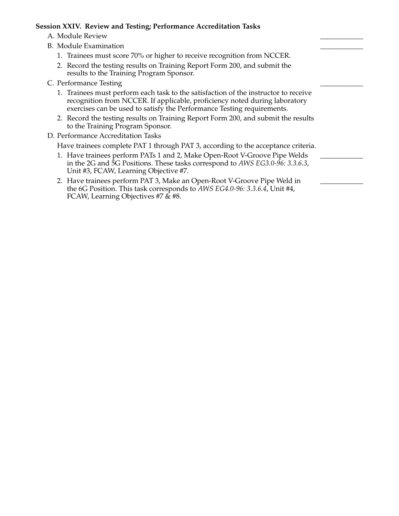#### **Session XXIV. Review and Testing; Performance Accreditation Tasks**

- A. Module Review
- B. Module Examination
	- 1. Trainees must score 70% or higher to receive recognition from NCCER.
	- 2. Record the testing results on Training Report Form 200, and submit the results to the Training Program Sponsor.
- C. Performance Testing
	- 1. Trainees must perform each task to the satisfaction of the instructor to receive recognition from NCCER. If applicable, proficiency noted during laboratory exercises can be used to satisfy the Performance Testing requirements.
	- 2. Record the testing results on Training Report Form 200, and submit the results to the Training Program Sponsor.
- D. Performance Accreditation Tasks

Have trainees complete PAT 1 through PAT 3, according to the acceptance criteria.

- 1. Have trainees perform PATs 1 and 2, Make Open-Root V-Groove Pipe Welds in the 2G and 5G Positions. These tasks correspond to *AWS EG3.0-96: 3.3.6.3*, Unit #3, FCAW, Learning Objective #7.
- 2. Have trainees perform PAT 3, Make an Open-Root V-Groove Pipe Weld in the 6G Position. This task corresponds to *AWS EG4.0-96: 3.3.6.4*, Unit #4, FCAW, Learning Objectives #7 & #8.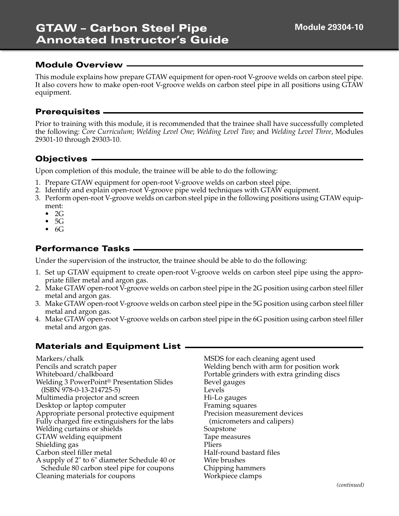This module explains how prepare GTAW equipment for open-root V-groove welds on carbon steel pipe. It also covers how to make open-root V-groove welds on carbon steel pipe in all positions using GTAW equipment.

#### **Prerequisites**

Prior to training with this module, it is recommended that the trainee shall have successfully completed the following: *Core Curriculum*; *Welding Level One*; *Welding Level Two*; and *Welding Level Three*, Modules 29301-10 through 29303-10.

### **Objectives**

Upon completion of this module, the trainee will be able to do the following:

- 1. Prepare GTAW equipment for open-root V-groove welds on carbon steel pipe.
- 2. Identify and explain open-root V-groove pipe weld techniques with GTAW equipment.
- 3. Perform open-root V-groove welds on carbon steel pipe in the following positions using GTAW equipment:
	- $\bullet$  2G
	- $\bullet$  5G
	- $\bullet$  6G

#### **Performance Tasks**

Under the supervision of the instructor, the trainee should be able to do the following:

- 1. Set up GTAW equipment to create open-root V-groove welds on carbon steel pipe using the appropriate filler metal and argon gas.
- 2. Make GTAW open-root V-groove welds on carbon steel pipe in the 2G position using carbon steel filler metal and argon gas.
- 3. Make GTAW open-root V-groove welds on carbon steel pipe in the 5G position using carbon steel filler metal and argon gas.
- 4. Make GTAW open-root V-groove welds on carbon steel pipe in the 6G position using carbon steel filler metal and argon gas.

#### **Materials and Equipment List**

Markers/chalk Pencils and scratch paper Whiteboard/chalkboard Welding 3 PowerPoint® Presentation Slides (ISBN 978-0-13-214725-5) Multimedia projector and screen Desktop or laptop computer Appropriate personal protective equipment Fully charged fire extinguishers for the labs Welding curtains or shields GTAW welding equipment Shielding gas Carbon steel filler metal A supply of 2" to 6" diameter Schedule 40 or Schedule 80 carbon steel pipe for coupons Cleaning materials for coupons

MSDS for each cleaning agent used Welding bench with arm for position work Portable grinders with extra grinding discs Bevel gauges Levels Hi-Lo gauges Framing squares Precision measurement devices (micrometers and calipers) Soapstone Tape measures Pliers Half-round bastard files Wire brushes Chipping hammers Workpiece clamps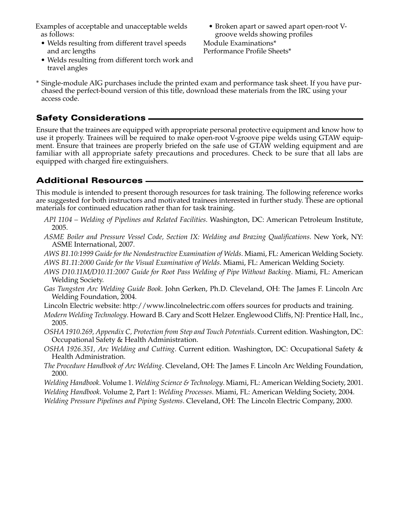Examples of acceptable and unacceptable welds as follows:

- Welds resulting from different travel speeds and arc lengths
- Welds resulting from different torch work and travel angles
- Broken apart or sawed apart open-root Vgroove welds showing profiles Module Examinations\*

Performance Profile Sheets\*

\* Single-module AIG purchases include the printed exam and performance task sheet. If you have purchased the perfect-bound version of this title, download these materials from the IRC using your access code.

### **Safety Considerations**

Ensure that the trainees are equipped with appropriate personal protective equipment and know how to use it properly. Trainees will be required to make open-root V-groove pipe welds using GTAW equipment. Ensure that trainees are properly briefed on the safe use of GTAW welding equipment and are familiar with all appropriate safety precautions and procedures. Check to be sure that all labs are equipped with charged fire extinguishers.

### **Additional Resources**

This module is intended to present thorough resources for task training. The following reference works are suggested for both instructors and motivated trainees interested in further study. These are optional materials for continued education rather than for task training.

- *API 1104 Welding of Pipelines and Related Facilities*. Washington, DC: American Petroleum Institute, 2005.
- *ASME Boiler and Pressure Vessel Code, Section IX: Welding and Brazing Qualifications*. New York, NY: ASME International, 2007.
- *AWS B1.10:1999 Guide for the Nondestructive Examination of Welds*. Miami, FL: American Welding Society. *AWS B1.11:2000 Guide for the Visual Examination of Welds*. Miami, FL: American Welding Society.
- *AWS D10.11M/D10.11:2007 Guide for Root Pass Welding of Pipe Without Backing*. Miami, FL: American Welding Society.
- *Gas Tungsten Arc Welding Guide Book*. John Gerken, Ph.D. Cleveland, OH: The James F. Lincoln Arc Welding Foundation, 2004.
- Lincoln Electric website: http://www.lincolnelectric.com offers sources for products and training.
- *Modern Welding Technology*. Howard B. Cary and Scott Helzer. Englewood Cliffs, NJ: Prentice Hall, Inc., 2005.
- *OSHA 1910.269, Appendix C, Protection from Step and Touch Potentials*. Current edition. Washington, DC: Occupational Safety & Health Administration.
- *OSHA 1926.351, Arc Welding and Cutting*. Current edition. Washington, DC: Occupational Safety & Health Administration.
- *The Procedure Handbook of Arc Welding*. Cleveland, OH: The James F. Lincoln Arc Welding Foundation, 2000.

*Welding Handbook*. Volume 1. *Welding Science & Technology*. Miami, FL: American Welding Society, 2001.

*Welding Handbook*. Volume 2, Part 1: *Welding Processes*. Miami, FL: American Welding Society, 2004.

*Welding Pressure Pipelines and Piping Systems*. Cleveland, OH: The Lincoln Electric Company, 2000.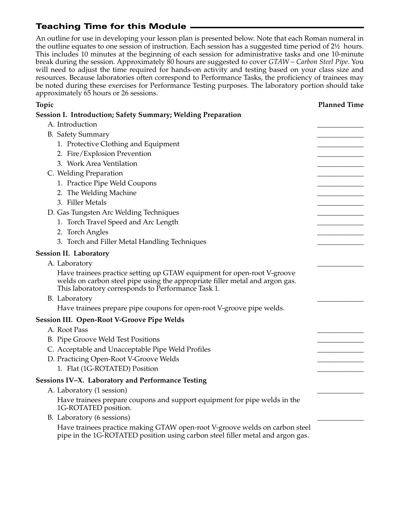# **Teaching Time for this Module**

An outline for use in developing your lesson plan is presented below. Note that each Roman numeral in the outline equates to one session of instruction. Each session has a suggested time period of 2½ hours. This includes 10 minutes at the beginning of each session for administrative tasks and one 10-minute break during the session. Approximately 80 hours are suggested to cover *GTAW – Carbon Steel Pipe*. You will need to adjust the time required for hands-on activity and testing based on your class size and resources. Because laboratories often correspond to Performance Tasks, the proficiency of trainees may be noted during these exercises for Performance Testing purposes. The laboratory portion should take approximately 65 hours or 26 sessions.

| <b>Topic</b>                                                                                                                                                                                                  | <b>Planned Time</b> |
|---------------------------------------------------------------------------------------------------------------------------------------------------------------------------------------------------------------|---------------------|
| Session I. Introduction; Safety Summary; Welding Preparation                                                                                                                                                  |                     |
| A. Introduction                                                                                                                                                                                               |                     |
| <b>B.</b> Safety Summary                                                                                                                                                                                      |                     |
| 1. Protective Clothing and Equipment                                                                                                                                                                          |                     |
| 2. Fire/Explosion Prevention                                                                                                                                                                                  |                     |
| 3. Work Area Ventilation                                                                                                                                                                                      |                     |
| C. Welding Preparation                                                                                                                                                                                        |                     |
| 1. Practice Pipe Weld Coupons                                                                                                                                                                                 |                     |
| 2. The Welding Machine                                                                                                                                                                                        |                     |
| 3. Filler Metals                                                                                                                                                                                              |                     |
| D. Gas Tungsten Arc Welding Techniques                                                                                                                                                                        |                     |
| 1. Torch Travel Speed and Arc Length                                                                                                                                                                          |                     |
| 2. Torch Angles                                                                                                                                                                                               |                     |
| 3. Torch and Filler Metal Handling Techniques                                                                                                                                                                 |                     |
| <b>Session II. Laboratory</b>                                                                                                                                                                                 |                     |
| A. Laboratory                                                                                                                                                                                                 |                     |
| Have trainees practice setting up GTAW equipment for open-root V-groove<br>welds on carbon steel pipe using the appropriate filler metal and argon gas.<br>This laboratory corresponds to Performance Task 1. |                     |
| B. Laboratory                                                                                                                                                                                                 |                     |
| Have trainees prepare pipe coupons for open-root V-groove pipe welds.                                                                                                                                         |                     |
| <b>Session III. Open-Root V-Groove Pipe Welds</b>                                                                                                                                                             |                     |
| A. Root Pass                                                                                                                                                                                                  |                     |
| B. Pipe Groove Weld Test Positions                                                                                                                                                                            |                     |
| C. Acceptable and Unacceptable Pipe Weld Profiles                                                                                                                                                             |                     |
| D. Practicing Open-Root V-Groove Welds                                                                                                                                                                        |                     |
| 1. Flat (1G-ROTATED) Position                                                                                                                                                                                 |                     |
| Sessions IV-X. Laboratory and Performance Testing                                                                                                                                                             |                     |
| A. Laboratory (1 session)                                                                                                                                                                                     |                     |
| Have trainees prepare coupons and support equipment for pipe welds in the<br>1G-ROTATED position.                                                                                                             |                     |
| B. Laboratory (6 sessions)                                                                                                                                                                                    |                     |
| Have trainees practice making GTAW open-root V-groove welds on carbon steel<br>pipe in the 1G-ROTATED position using carbon steel filler metal and argon gas.                                                 |                     |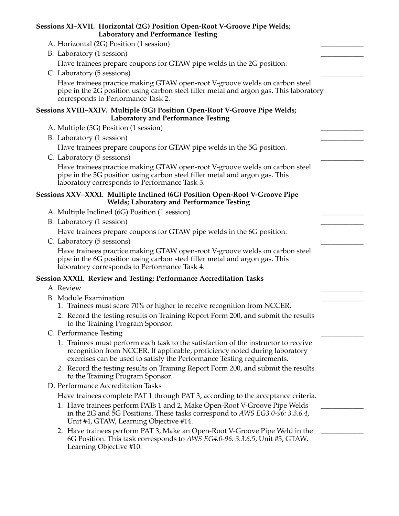| Sessions XI–XVII. Horizontal (2G) Position Open-Root V-Groove Pipe Welds;<br><b>Laboratory and Performance Testing</b>                                                                                                                      |  |
|---------------------------------------------------------------------------------------------------------------------------------------------------------------------------------------------------------------------------------------------|--|
| A. Horizontal (2G) Position (1 session)                                                                                                                                                                                                     |  |
| B. Laboratory (1 session)                                                                                                                                                                                                                   |  |
| Have trainees prepare coupons for GTAW pipe welds in the 2G position.                                                                                                                                                                       |  |
| C. Laboratory (5 sessions)                                                                                                                                                                                                                  |  |
| Have trainees practice making GTAW open-root V-groove welds on carbon steel<br>pipe in the 2G position using carbon steel filler metal and argon gas. This laboratory<br>corresponds to Performance Task 2.                                 |  |
| Sessions XVIII-XXIV. Multiple (5G) Position Open-Root V-Groove Pipe Welds;<br><b>Laboratory and Performance Testing</b>                                                                                                                     |  |
| A. Multiple (5G) Position (1 session)                                                                                                                                                                                                       |  |
| B. Laboratory (1 session)                                                                                                                                                                                                                   |  |
| Have trainees prepare coupons for GTAW pipe welds in the 5G position.                                                                                                                                                                       |  |
| C. Laboratory (5 sessions)                                                                                                                                                                                                                  |  |
| Have trainees practice making GTAW open-root V-groove welds on carbon steel<br>pipe in the 5G position using carbon steel filler metal and argon gas. This<br>laboratory corresponds to Performance Task 3.                                 |  |
| Sessions XXV-XXXI. Multiple Inclined (6G) Position Open-Root V-Groove Pipe<br><b>Welds; Laboratory and Performance Testing</b>                                                                                                              |  |
| A. Multiple Inclined (6G) Position (1 session)                                                                                                                                                                                              |  |
| B. Laboratory (1 session)                                                                                                                                                                                                                   |  |
| Have trainees prepare coupons for GTAW pipe welds in the 6G position.                                                                                                                                                                       |  |
| C. Laboratory (5 sessions)                                                                                                                                                                                                                  |  |
| Have trainees practice making GTAW open-root V-groove welds on carbon steel<br>pipe in the 6G position using carbon steel filler metal and argon gas. This<br>laboratory corresponds to Performance Task 4.                                 |  |
| Session XXXII. Review and Testing; Performance Accreditation Tasks                                                                                                                                                                          |  |
| A. Review                                                                                                                                                                                                                                   |  |
| B. Module Examination                                                                                                                                                                                                                       |  |
| 1. Trainees must score 70% or higher to receive recognition from NCCER.                                                                                                                                                                     |  |
| 2. Record the testing results on Training Report Form 200, and submit the results<br>to the Training Program Sponsor.                                                                                                                       |  |
| C. Performance Testing                                                                                                                                                                                                                      |  |
| 1. Trainees must perform each task to the satisfaction of the instructor to receive<br>recognition from NCCER. If applicable, proficiency noted during laboratory<br>exercises can be used to satisfy the Performance Testing requirements. |  |
| 2. Record the testing results on Training Report Form 200, and submit the results<br>to the Training Program Sponsor.                                                                                                                       |  |
| D. Performance Accreditation Tasks                                                                                                                                                                                                          |  |
| Have trainees complete PAT 1 through PAT 3, according to the acceptance criteria.                                                                                                                                                           |  |
| 1. Have trainees perform PATs 1 and 2, Make Open-Root V-Groove Pipe Welds<br>in the 2G and 5G Positions. These tasks correspond to AWS EG3.0-96: 3.3.6.4,<br>Unit #4, GTAW, Learning Objective #14.                                         |  |
| 2. Have trainees perform PAT 3, Make an Open-Root V-Groove Pipe Weld in the<br>6G Position. This task corresponds to AWS EG4.0-96: 3.3.6.5, Unit #5, GTAW,<br>Learning Objective #10.                                                       |  |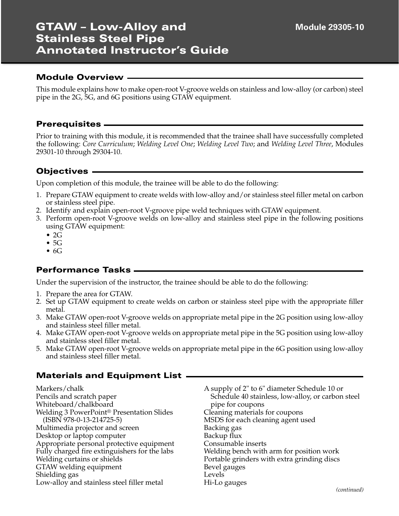# **GTAW – Low-Alloy and Stainless Steel Pipe Annotated Instructor's Guide**

### **Module Overview**

This module explains how to make open-root V-groove welds on stainless and low-alloy (or carbon) steel pipe in the 2G, 5G, and 6G positions using GTAW equipment.

### **Prerequisites**

Prior to training with this module, it is recommended that the trainee shall have successfully completed the following: *Core Curriculum*; *Welding Level One*; *Welding Level Two*; and *Welding Level Three*, Modules 29301-10 through 29304-10.

### **Objectives**

Upon completion of this module, the trainee will be able to do the following:

- 1. Prepare GTAW equipment to create welds with low-alloy and/or stainless steel filler metal on carbon or stainless steel pipe.
- 2. Identify and explain open-root V-groove pipe weld techniques with GTAW equipment.
- 3. Perform open-root V-groove welds on low-alloy and stainless steel pipe in the following positions using GTAW equipment:
	- $\bullet$  2G
	- 5G
	- 6G

### **Performance Tasks**

Under the supervision of the instructor, the trainee should be able to do the following:

- 1. Prepare the area for GTAW.
- 2. Set up GTAW equipment to create welds on carbon or stainless steel pipe with the appropriate filler metal.
- 3. Make GTAW open-root V-groove welds on appropriate metal pipe in the 2G position using low-alloy and stainless steel filler metal.
- 4. Make GTAW open-root V-groove welds on appropriate metal pipe in the 5G position using low-alloy and stainless steel filler metal.
- 5. Make GTAW open-root V-groove welds on appropriate metal pipe in the 6G position using low-alloy and stainless steel filler metal.

### **Materials and Equipment List**

| Markers/chalk                                         | A supply of 2" to 6" diameter Schedule 10 or      |
|-------------------------------------------------------|---------------------------------------------------|
| Pencils and scratch paper                             | Schedule 40 stainless, low-alloy, or carbon steel |
| Whiteboard/chalkboard                                 | pipe for coupons                                  |
| Welding 3 PowerPoint <sup>®</sup> Presentation Slides | Cleaning materials for coupons                    |
| $(ISBN 978-0-13-214725-5)$                            | MSDS for each cleaning agent used                 |
| Multimedia projector and screen                       | Backing gas                                       |
| Desktop or laptop computer                            | Backup flux                                       |
| Appropriate personal protective equipment             | Consumable inserts                                |
| Fully charged fire extinguishers for the labs         | Welding bench with arm for position work          |
| Welding curtains or shields                           | Portable grinders with extra grinding discs       |
| GTAW welding equipment                                | Bevel gauges                                      |
| Shielding gas                                         | Levels                                            |
| Low-alloy and stainless steel filler metal            | Hi-Lo gauges                                      |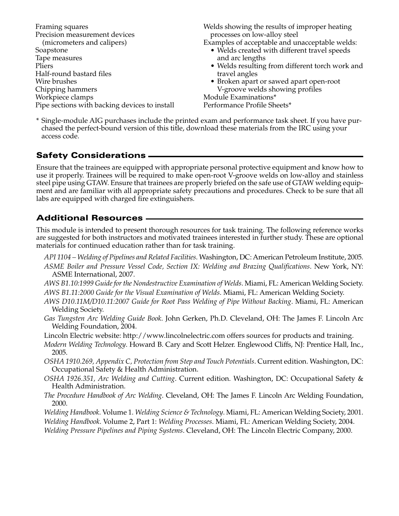Framing squares Precision measurement devices (micrometers and calipers) Soapstone Tape measures Pliers Half-round bastard files Wire brushes Chipping hammers Workpiece clamps Pipe sections with backing devices to install Welds showing the results of improper heating processes on low-alloy steel

Examples of acceptable and unacceptable welds:

- Welds created with different travel speeds and arc lengths
- Welds resulting from different torch work and travel angles
- Broken apart or sawed apart open-root V-groove welds showing profiles

Module Examinations\* Performance Profile Sheets\*

\* Single-module AIG purchases include the printed exam and performance task sheet. If you have purchased the perfect-bound version of this title, download these materials from the IRC using your access code.

## **Safety Considerations**

Ensure that the trainees are equipped with appropriate personal protective equipment and know how to use it properly. Trainees will be required to make open-root V-groove welds on low-alloy and stainless steel pipe using GTAW. Ensure that trainees are properly briefed on the safe use of GTAW welding equipment and are familiar with all appropriate safety precautions and procedures. Check to be sure that all labs are equipped with charged fire extinguishers.

### **Additional Resources**

This module is intended to present thorough resources for task training. The following reference works are suggested for both instructors and motivated trainees interested in further study. These are optional materials for continued education rather than for task training.

- *API 1104 Welding of Pipelines and Related Facilities*. Washington, DC: American Petroleum Institute, 2005. *ASME Boiler and Pressure Vessel Code, Section IX: Welding and Brazing Qualifications*. New York, NY: ASME International, 2007.
- *AWS B1.10:1999 Guide for the Nondestructive Examination of Welds*. Miami, FL: American Welding Society. *AWS B1.11:2000 Guide for the Visual Examination of Welds*. Miami, FL: American Welding Society.
- *AWS D10.11M/D10.11:2007 Guide for Root Pass Welding of Pipe Without Backing*. Miami, FL: American Welding Society.
- *Gas Tungsten Arc Welding Guide Book*. John Gerken, Ph.D. Cleveland, OH: The James F. Lincoln Arc Welding Foundation, 2004.
- Lincoln Electric website: http://www.lincolnelectric.com offers sources for products and training.
- *Modern Welding Technology*. Howard B. Cary and Scott Helzer. Englewood Cliffs, NJ: Prentice Hall, Inc., 2005.
- *OSHA 1910.269, Appendix C, Protection from Step and Touch Potentials*. Current edition. Washington, DC: Occupational Safety & Health Administration.
- *OSHA 1926.351, Arc Welding and Cutting*. Current edition. Washington, DC: Occupational Safety & Health Administration.
- *The Procedure Handbook of Arc Welding*. Cleveland, OH: The James F. Lincoln Arc Welding Foundation, 2000.

*Welding Handbook*. Volume 1. *Welding Science & Technology*. Miami, FL: American Welding Society, 2001.

*Welding Handbook*. Volume 2, Part 1: *Welding Processes*. Miami, FL: American Welding Society, 2004.

*Welding Pressure Pipelines and Piping Systems*. Cleveland, OH: The Lincoln Electric Company, 2000.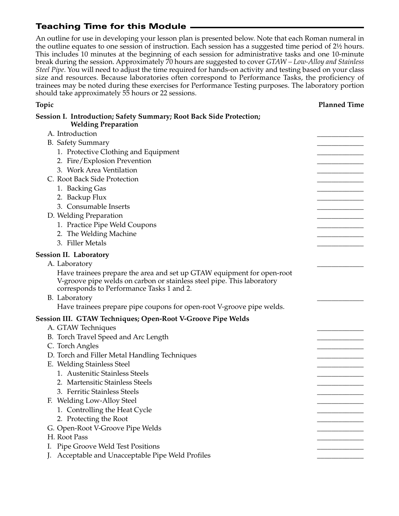# **Teaching Time for this Module**

An outline for use in developing your lesson plan is presented below. Note that each Roman numeral in the outline equates to one session of instruction. Each session has a suggested time period of 2½ hours. This includes 10 minutes at the beginning of each session for administrative tasks and one 10-minute break during the session. Approximately 70 hours are suggested to cover *GTAW – Low-Alloy and Stainless Steel Pipe*. You will need to adjust the time required for hands-on activity and testing based on your class size and resources. Because laboratories often correspond to Performance Tasks, the proficiency of trainees may be noted during these exercises for Performance Testing purposes. The laboratory portion should take approximately 55 hours or 22 sessions.

| Topic                                                                                                                                                                                         | <b>Planned Time</b> |
|-----------------------------------------------------------------------------------------------------------------------------------------------------------------------------------------------|---------------------|
| Session I. Introduction; Safety Summary; Root Back Side Protection;<br><b>Welding Preparation</b>                                                                                             |                     |
| A. Introduction                                                                                                                                                                               |                     |
| <b>B.</b> Safety Summary                                                                                                                                                                      |                     |
| 1. Protective Clothing and Equipment                                                                                                                                                          |                     |
| 2. Fire/Explosion Prevention                                                                                                                                                                  |                     |
| 3. Work Area Ventilation                                                                                                                                                                      |                     |
| C. Root Back Side Protection                                                                                                                                                                  |                     |
| 1. Backing Gas                                                                                                                                                                                |                     |
| 2. Backup Flux                                                                                                                                                                                |                     |
| 3. Consumable Inserts                                                                                                                                                                         |                     |
| D. Welding Preparation                                                                                                                                                                        |                     |
| 1. Practice Pipe Weld Coupons                                                                                                                                                                 |                     |
| 2. The Welding Machine                                                                                                                                                                        |                     |
| 3. Filler Metals                                                                                                                                                                              |                     |
| <b>Session II. Laboratory</b>                                                                                                                                                                 |                     |
| A. Laboratory                                                                                                                                                                                 |                     |
| Have trainees prepare the area and set up GTAW equipment for open-root<br>V-groove pipe welds on carbon or stainless steel pipe. This laboratory<br>corresponds to Performance Tasks 1 and 2. |                     |
| B. Laboratory                                                                                                                                                                                 |                     |
| Have trainees prepare pipe coupons for open-root V-groove pipe welds.                                                                                                                         |                     |
| Session III. GTAW Techniques; Open-Root V-Groove Pipe Welds                                                                                                                                   |                     |
| A. GTAW Techniques                                                                                                                                                                            |                     |
| B. Torch Travel Speed and Arc Length                                                                                                                                                          |                     |
| C. Torch Angles                                                                                                                                                                               |                     |
| D. Torch and Filler Metal Handling Techniques                                                                                                                                                 |                     |
| E. Welding Stainless Steel                                                                                                                                                                    |                     |
| 1. Austenitic Stainless Steels                                                                                                                                                                |                     |
| 2. Martensitic Stainless Steels                                                                                                                                                               |                     |
| 3. Ferritic Stainless Steels                                                                                                                                                                  |                     |
| F. Welding Low-Alloy Steel                                                                                                                                                                    |                     |
| 1. Controlling the Heat Cycle                                                                                                                                                                 |                     |
| 2. Protecting the Root                                                                                                                                                                        |                     |
| G. Open-Root V-Groove Pipe Welds                                                                                                                                                              |                     |
| H. Root Pass                                                                                                                                                                                  |                     |
| Pipe Groove Weld Test Positions                                                                                                                                                               |                     |
| Acceptable and Unacceptable Pipe Weld Profiles                                                                                                                                                |                     |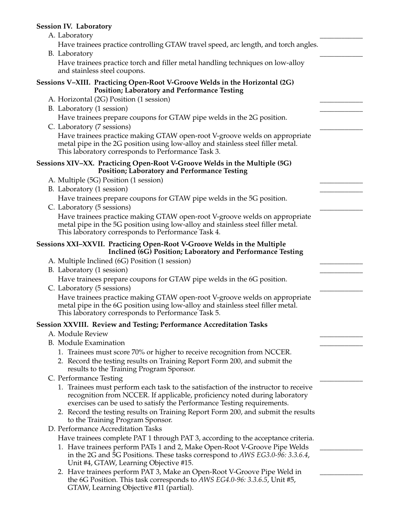#### **Session IV. Laboratory**

A. Laboratory

Have trainees practice controlling GTAW travel speed, arc length, and torch angles.

B. Laboratory

Have trainees practice torch and filler metal handling techniques on low-alloy and stainless steel coupons.

#### **Sessions V–XIII. Practicing Open-Root V-Groove Welds in the Horizontal (2G) Position; Laboratory and Performance Testing**

- A. Horizontal (2G) Position (1 session)
- B. Laboratory (1 session)

Have trainees prepare coupons for GTAW pipe welds in the 2G position.

C. Laboratory (7 sessions)

Have trainees practice making GTAW open-root V-groove welds on appropriate metal pipe in the 2G position using low-alloy and stainless steel filler metal. This laboratory corresponds to Performance Task 3.

#### **Sessions XIV–XX. Practicing Open-Root V-Groove Welds in the Multiple (5G) Position; Laboratory and Performance Testing**

- A. Multiple (5G) Position (1 session)
- B. Laboratory (1 session)

Have trainees prepare coupons for GTAW pipe welds in the 5G position.

C. Laboratory (5 sessions)

Have trainees practice making GTAW open-root V-groove welds on appropriate metal pipe in the 5G position using low-alloy and stainless steel filler metal. This laboratory corresponds to Performance Task 4.

#### **Sessions XXI–XXVII. Practicing Open-Root V-Groove Welds in the Multiple Inclined (6G) Position; Laboratory and Performance Testing**

- A. Multiple Inclined (6G) Position (1 session)
- B. Laboratory (1 session)

Have trainees prepare coupons for GTAW pipe welds in the 6G position.

C. Laboratory (5 sessions)

Have trainees practice making GTAW open-root V-groove welds on appropriate metal pipe in the 6G position using low-alloy and stainless steel filler metal. This laboratory corresponds to Performance Task 5.

### **Session XXVIII. Review and Testing; Performance Accreditation Tasks**

- A. Module Review
- B. Module Examination
	- 1. Trainees must score 70% or higher to receive recognition from NCCER.
	- 2. Record the testing results on Training Report Form 200, and submit the results to the Training Program Sponsor.
- C. Performance Testing
	- 1. Trainees must perform each task to the satisfaction of the instructor to receive recognition from NCCER. If applicable, proficiency noted during laboratory exercises can be used to satisfy the Performance Testing requirements.
	- 2. Record the testing results on Training Report Form 200, and submit the results to the Training Program Sponsor.
- D. Performance Accreditation Tasks

Have trainees complete PAT 1 through PAT 3, according to the acceptance criteria.

- 1. Have trainees perform PATs 1 and 2, Make Open-Root V-Groove Pipe Welds in the 2G and 5G Positions. These tasks correspond to *AWS EG3.0-96: 3.3.6.4*, Unit #4, GTAW, Learning Objective #15.
- 2. Have trainees perform PAT 3, Make an Open-Root V-Groove Pipe Weld in the 6G Position. This task corresponds to *AWS EG4.0-96: 3.3.6.5*, Unit #5, GTAW, Learning Objective #11 (partial).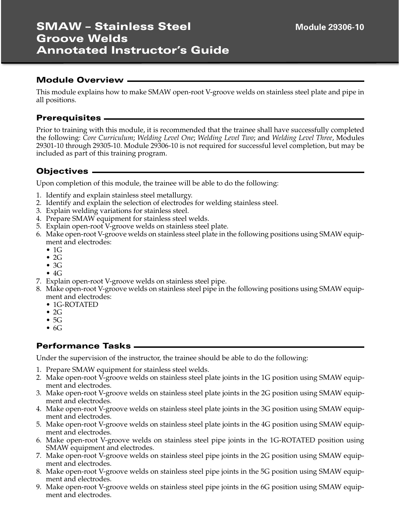This module explains how to make SMAW open-root V-groove welds on stainless steel plate and pipe in all positions.

#### **Prerequisites**

Prior to training with this module, it is recommended that the trainee shall have successfully completed the following: *Core Curriculum*; *Welding Level One*; *Welding Level Two*; and *Welding Level Three*, Modules 29301-10 through 29305-10. Module 29306-10 is not required for successful level completion, but may be included as part of this training program.

### **Objectives**

Upon completion of this module, the trainee will be able to do the following:

- 1. Identify and explain stainless steel metallurgy.
- 2. Identify and explain the selection of electrodes for welding stainless steel.
- 3. Explain welding variations for stainless steel.
- 4. Prepare SMAW equipment for stainless steel welds.
- 5. Explain open-root V-groove welds on stainless steel plate.
- 6. Make open-root V-groove welds on stainless steel plate in the following positions using SMAW equipment and electrodes:
	- $\bullet$  1G
	- $\bullet$  2G
	- 3G
	- $\bullet$  4G
- 7. Explain open-root V-groove welds on stainless steel pipe.
- 8. Make open-root V-groove welds on stainless steel pipe in the following positions using SMAW equipment and electrodes:
	- 1G-ROTATED
	- $\bullet$  2G
	- $\bullet$  5G
	- $\bullet$  6G

### **Performance Tasks**

Under the supervision of the instructor, the trainee should be able to do the following:

- 1. Prepare SMAW equipment for stainless steel welds.
- 2. Make open-root V-groove welds on stainless steel plate joints in the 1G position using SMAW equipment and electrodes.
- 3. Make open-root V-groove welds on stainless steel plate joints in the 2G position using SMAW equipment and electrodes.
- 4. Make open-root V-groove welds on stainless steel plate joints in the 3G position using SMAW equipment and electrodes.
- 5. Make open-root V-groove welds on stainless steel plate joints in the 4G position using SMAW equipment and electrodes.
- 6. Make open-root V-groove welds on stainless steel pipe joints in the 1G-ROTATED position using SMAW equipment and electrodes.
- 7. Make open-root V-groove welds on stainless steel pipe joints in the 2G position using SMAW equipment and electrodes.
- 8. Make open-root V-groove welds on stainless steel pipe joints in the 5G position using SMAW equipment and electrodes.
- 9. Make open-root V-groove welds on stainless steel pipe joints in the 6G position using SMAW equipment and electrodes.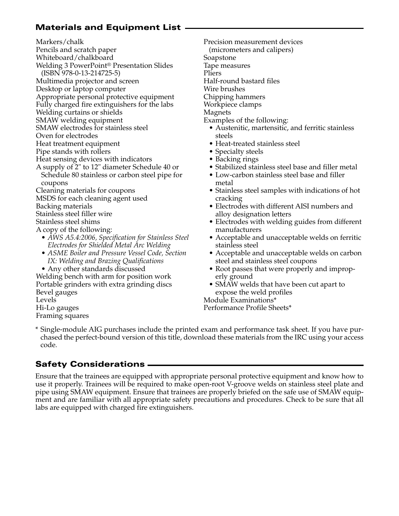## **Materials and Equipment List**

Markers/chalk

Pencils and scratch paper

Whiteboard/chalkboard

Welding 3 PowerPoint® Presentation Slides

(ISBN 978-0-13-214725-5)

Multimedia projector and screen

Desktop or laptop computer

Appropriate personal protective equipment Fully charged fire extinguishers for the labs

Welding curtains or shields

SMAW welding equipment

SMAW electrodes for stainless steel

Oven for electrodes

Heat treatment equipment

Pipe stands with rollers

Heat sensing devices with indicators

A supply of 2" to 12" diameter Schedule 40 or Schedule 80 stainless or carbon steel pipe for coupons

Cleaning materials for coupons

MSDS for each cleaning agent used

Backing materials

Stainless steel filler wire

Stainless steel shims

A copy of the following:

- *AWS A5.4:2006, Specification for Stainless Steel Electrodes for Shielded Metal Arc Welding*
- *ASME Boiler and Pressure Vessel Code, Section IX: Welding and Brazing Qualifications*
- Any other standards discussed

Welding bench with arm for position work Portable grinders with extra grinding discs Bevel gauges Levels Hi-Lo gauges Framing squares

Precision measurement devices (micrometers and calipers) Soapstone Tape measures Pliers Half-round bastard files Wire brushes

Chipping hammers

Workpiece clamps

Magnets

Examples of the following:

- Austenitic, martensitic, and ferritic stainless steels
- Heat-treated stainless steel
- Specialty steels
- Backing rings
- Stabilized stainless steel base and filler metal
- Low-carbon stainless steel base and filler metal
- Stainless steel samples with indications of hot cracking
- Electrodes with different AISI numbers and alloy designation letters
- Electrodes with welding guides from different manufacturers
- Acceptable and unacceptable welds on ferritic stainless steel
- Acceptable and unacceptable welds on carbon steel and stainless steel coupons
- Root passes that were properly and improperly ground
- SMAW welds that have been cut apart to expose the weld profiles

Module Examinations\*

Performance Profile Sheets\*

\* Single-module AIG purchases include the printed exam and performance task sheet. If you have purchased the perfect-bound version of this title, download these materials from the IRC using your access code.

# **Safety Considerations**

Ensure that the trainees are equipped with appropriate personal protective equipment and know how to use it properly. Trainees will be required to make open-root V-groove welds on stainless steel plate and pipe using SMAW equipment. Ensure that trainees are properly briefed on the safe use of SMAW equipment and are familiar with all appropriate safety precautions and procedures. Check to be sure that all labs are equipped with charged fire extinguishers.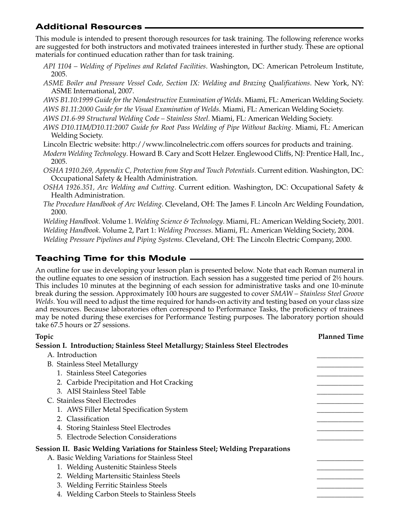# **Additional Resources**

This module is intended to present thorough resources for task training. The following reference works are suggested for both instructors and motivated trainees interested in further study. These are optional materials for continued education rather than for task training.

- *API 1104 Welding of Pipelines and Related Facilities*. Washington, DC: American Petroleum Institute, 2005.
- *ASME Boiler and Pressure Vessel Code, Section IX: Welding and Brazing Qualifications*. New York, NY: ASME International, 2007.

*AWS B1.10:1999 Guide for the Nondestructive Examination of Welds*. Miami, FL: American Welding Society. *AWS B1.11:2000 Guide for the Visual Examination of Welds*. Miami, FL: American Welding Society.

*AWS D1.6-99 Structural Welding Code – Stainless Steel*. Miami, FL: American Welding Society.

*AWS D10.11M/D10.11:2007 Guide for Root Pass Welding of Pipe Without Backing*. Miami, FL: American Welding Society.

Lincoln Electric website: http://www.lincolnelectric.com offers sources for products and training.

*Modern Welding Technology*. Howard B. Cary and Scott Helzer. Englewood Cliffs, NJ: Prentice Hall, Inc., 2005.

*OSHA 1910.269, Appendix C, Protection from Step and Touch Potentials*. Current edition. Washington, DC: Occupational Safety & Health Administration.

- *OSHA 1926.351, Arc Welding and Cutting*. Current edition. Washington, DC: Occupational Safety & Health Administration.
- *The Procedure Handbook of Arc Welding*. Cleveland, OH: The James F. Lincoln Arc Welding Foundation, 2000.

*Welding Handbook*. Volume 1. *Welding Science & Technology*. Miami, FL: American Welding Society, 2001. *Welding Handbook*. Volume 2, Part 1: *Welding Processes*. Miami, FL: American Welding Society, 2004. *Welding Pressure Pipelines and Piping Systems*. Cleveland, OH: The Lincoln Electric Company, 2000.

# **Teaching Time for this Module**

An outline for use in developing your lesson plan is presented below. Note that each Roman numeral in the outline equates to one session of instruction. Each session has a suggested time period of 2½ hours. This includes 10 minutes at the beginning of each session for administrative tasks and one 10-minute break during the session. Approximately 100 hours are suggested to cover *SMAW – Stainless Steel Groove Welds*. You will need to adjust the time required for hands-on activity and testing based on your class size and resources. Because laboratories often correspond to Performance Tasks, the proficiency of trainees may be noted during these exercises for Performance Testing purposes. The laboratory portion should take 67.5 hours or 27 sessions.

| Topic |                                                                                 | <b>Planned Time</b> |
|-------|---------------------------------------------------------------------------------|---------------------|
|       | Session I. Introduction; Stainless Steel Metallurgy; Stainless Steel Electrodes |                     |
|       | A. Introduction                                                                 |                     |
|       | <b>B.</b> Stainless Steel Metallurgy                                            |                     |
|       | 1. Stainless Steel Categories                                                   |                     |
|       | 2. Carbide Precipitation and Hot Cracking                                       |                     |
|       | 3. AISI Stainless Steel Table                                                   |                     |
|       | C. Stainless Steel Electrodes                                                   |                     |
|       | 1. AWS Filler Metal Specification System                                        |                     |
|       | 2. Classification                                                               |                     |
|       | 4. Storing Stainless Steel Electrodes                                           |                     |
|       | 5. Electrode Selection Considerations                                           |                     |
|       | Session II. Basic Welding Variations for Stainless Steel; Welding Preparations  |                     |
|       | A. Basic Welding Variations for Stainless Steel                                 |                     |
|       | 1. Welding Austenitic Stainless Steels                                          |                     |
|       | 2. Welding Martensitic Stainless Steels                                         |                     |
|       | 3. Welding Ferritic Stainless Steels                                            |                     |
|       | 4. Welding Carbon Steels to Stainless Steels                                    |                     |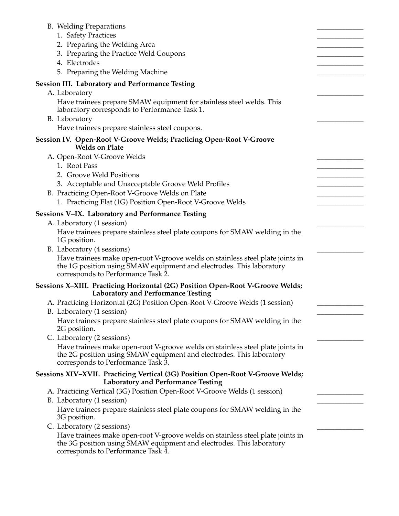| 1. Safety Practices<br>2. Preparing the Welding Area<br>3. Preparing the Practice Weld Coupons<br>4. Electrodes<br>5. Preparing the Welding Machine<br><b>Session III. Laboratory and Performance Testing</b><br>A. Laboratory<br>Have trainees prepare SMAW equipment for stainless steel welds. This<br>laboratory corresponds to Performance Task 1.<br>B. Laboratory<br>Have trainees prepare stainless steel coupons.<br>Session IV. Open-Root V-Groove Welds; Practicing Open-Root V-Groove<br><b>Welds on Plate</b><br>A. Open-Root V-Groove Welds<br>1. Root Pass<br>2. Groove Weld Positions<br>3. Acceptable and Unacceptable Groove Weld Profiles<br>B. Practicing Open-Root V-Groove Welds on Plate<br>1. Practicing Flat (1G) Position Open-Root V-Groove Welds<br>Sessions V-IX. Laboratory and Performance Testing<br>A. Laboratory (1 session)<br>Have trainees prepare stainless steel plate coupons for SMAW welding in the<br>1G position.<br>B. Laboratory (4 sessions)<br>Have trainees make open-root V-groove welds on stainless steel plate joints in<br>the 1G position using SMAW equipment and electrodes. This laboratory<br>corresponds to Performance Task 2.<br>Sessions X-XIII. Practicing Horizontal (2G) Position Open-Root V-Groove Welds;<br><b>Laboratory and Performance Testing</b><br>A. Practicing Horizontal (2G) Position Open-Root V-Groove Welds (1 session)<br>B. Laboratory (1 session)<br>Have trainees prepare stainless steel plate coupons for SMAW welding in the<br>2G position.<br>C. Laboratory (2 sessions)<br>Have trainees make open-root V-groove welds on stainless steel plate joints in<br>the 2G position using SMAW equipment and electrodes. This laboratory<br>corresponds to Performance Task 3.<br>Sessions XIV-XVII. Practicing Vertical (3G) Position Open-Root V-Groove Welds;<br><b>Laboratory and Performance Testing</b><br>A. Practicing Vertical (3G) Position Open-Root V-Groove Welds (1 session)<br>B. Laboratory (1 session)<br>Have trainees prepare stainless steel plate coupons for SMAW welding in the<br>3G position.<br>C. Laboratory (2 sessions)<br>Have trainees make open-root V-groove welds on stainless steel plate joints in<br>the 3G position using SMAW equipment and electrodes. This laboratory<br>corresponds to Performance Task 4. | <b>B.</b> Welding Preparations |  |
|-------------------------------------------------------------------------------------------------------------------------------------------------------------------------------------------------------------------------------------------------------------------------------------------------------------------------------------------------------------------------------------------------------------------------------------------------------------------------------------------------------------------------------------------------------------------------------------------------------------------------------------------------------------------------------------------------------------------------------------------------------------------------------------------------------------------------------------------------------------------------------------------------------------------------------------------------------------------------------------------------------------------------------------------------------------------------------------------------------------------------------------------------------------------------------------------------------------------------------------------------------------------------------------------------------------------------------------------------------------------------------------------------------------------------------------------------------------------------------------------------------------------------------------------------------------------------------------------------------------------------------------------------------------------------------------------------------------------------------------------------------------------------------------------------------------------------------------------------------------------------------------------------------------------------------------------------------------------------------------------------------------------------------------------------------------------------------------------------------------------------------------------------------------------------------------------------------------------------------------------------------------------------------------------------------------------------------------------|--------------------------------|--|
|                                                                                                                                                                                                                                                                                                                                                                                                                                                                                                                                                                                                                                                                                                                                                                                                                                                                                                                                                                                                                                                                                                                                                                                                                                                                                                                                                                                                                                                                                                                                                                                                                                                                                                                                                                                                                                                                                                                                                                                                                                                                                                                                                                                                                                                                                                                                           |                                |  |
|                                                                                                                                                                                                                                                                                                                                                                                                                                                                                                                                                                                                                                                                                                                                                                                                                                                                                                                                                                                                                                                                                                                                                                                                                                                                                                                                                                                                                                                                                                                                                                                                                                                                                                                                                                                                                                                                                                                                                                                                                                                                                                                                                                                                                                                                                                                                           |                                |  |
|                                                                                                                                                                                                                                                                                                                                                                                                                                                                                                                                                                                                                                                                                                                                                                                                                                                                                                                                                                                                                                                                                                                                                                                                                                                                                                                                                                                                                                                                                                                                                                                                                                                                                                                                                                                                                                                                                                                                                                                                                                                                                                                                                                                                                                                                                                                                           |                                |  |
|                                                                                                                                                                                                                                                                                                                                                                                                                                                                                                                                                                                                                                                                                                                                                                                                                                                                                                                                                                                                                                                                                                                                                                                                                                                                                                                                                                                                                                                                                                                                                                                                                                                                                                                                                                                                                                                                                                                                                                                                                                                                                                                                                                                                                                                                                                                                           |                                |  |
|                                                                                                                                                                                                                                                                                                                                                                                                                                                                                                                                                                                                                                                                                                                                                                                                                                                                                                                                                                                                                                                                                                                                                                                                                                                                                                                                                                                                                                                                                                                                                                                                                                                                                                                                                                                                                                                                                                                                                                                                                                                                                                                                                                                                                                                                                                                                           |                                |  |
|                                                                                                                                                                                                                                                                                                                                                                                                                                                                                                                                                                                                                                                                                                                                                                                                                                                                                                                                                                                                                                                                                                                                                                                                                                                                                                                                                                                                                                                                                                                                                                                                                                                                                                                                                                                                                                                                                                                                                                                                                                                                                                                                                                                                                                                                                                                                           |                                |  |
|                                                                                                                                                                                                                                                                                                                                                                                                                                                                                                                                                                                                                                                                                                                                                                                                                                                                                                                                                                                                                                                                                                                                                                                                                                                                                                                                                                                                                                                                                                                                                                                                                                                                                                                                                                                                                                                                                                                                                                                                                                                                                                                                                                                                                                                                                                                                           |                                |  |
|                                                                                                                                                                                                                                                                                                                                                                                                                                                                                                                                                                                                                                                                                                                                                                                                                                                                                                                                                                                                                                                                                                                                                                                                                                                                                                                                                                                                                                                                                                                                                                                                                                                                                                                                                                                                                                                                                                                                                                                                                                                                                                                                                                                                                                                                                                                                           |                                |  |
|                                                                                                                                                                                                                                                                                                                                                                                                                                                                                                                                                                                                                                                                                                                                                                                                                                                                                                                                                                                                                                                                                                                                                                                                                                                                                                                                                                                                                                                                                                                                                                                                                                                                                                                                                                                                                                                                                                                                                                                                                                                                                                                                                                                                                                                                                                                                           |                                |  |
|                                                                                                                                                                                                                                                                                                                                                                                                                                                                                                                                                                                                                                                                                                                                                                                                                                                                                                                                                                                                                                                                                                                                                                                                                                                                                                                                                                                                                                                                                                                                                                                                                                                                                                                                                                                                                                                                                                                                                                                                                                                                                                                                                                                                                                                                                                                                           |                                |  |
|                                                                                                                                                                                                                                                                                                                                                                                                                                                                                                                                                                                                                                                                                                                                                                                                                                                                                                                                                                                                                                                                                                                                                                                                                                                                                                                                                                                                                                                                                                                                                                                                                                                                                                                                                                                                                                                                                                                                                                                                                                                                                                                                                                                                                                                                                                                                           |                                |  |
|                                                                                                                                                                                                                                                                                                                                                                                                                                                                                                                                                                                                                                                                                                                                                                                                                                                                                                                                                                                                                                                                                                                                                                                                                                                                                                                                                                                                                                                                                                                                                                                                                                                                                                                                                                                                                                                                                                                                                                                                                                                                                                                                                                                                                                                                                                                                           |                                |  |
|                                                                                                                                                                                                                                                                                                                                                                                                                                                                                                                                                                                                                                                                                                                                                                                                                                                                                                                                                                                                                                                                                                                                                                                                                                                                                                                                                                                                                                                                                                                                                                                                                                                                                                                                                                                                                                                                                                                                                                                                                                                                                                                                                                                                                                                                                                                                           |                                |  |
|                                                                                                                                                                                                                                                                                                                                                                                                                                                                                                                                                                                                                                                                                                                                                                                                                                                                                                                                                                                                                                                                                                                                                                                                                                                                                                                                                                                                                                                                                                                                                                                                                                                                                                                                                                                                                                                                                                                                                                                                                                                                                                                                                                                                                                                                                                                                           |                                |  |
|                                                                                                                                                                                                                                                                                                                                                                                                                                                                                                                                                                                                                                                                                                                                                                                                                                                                                                                                                                                                                                                                                                                                                                                                                                                                                                                                                                                                                                                                                                                                                                                                                                                                                                                                                                                                                                                                                                                                                                                                                                                                                                                                                                                                                                                                                                                                           |                                |  |
|                                                                                                                                                                                                                                                                                                                                                                                                                                                                                                                                                                                                                                                                                                                                                                                                                                                                                                                                                                                                                                                                                                                                                                                                                                                                                                                                                                                                                                                                                                                                                                                                                                                                                                                                                                                                                                                                                                                                                                                                                                                                                                                                                                                                                                                                                                                                           |                                |  |
|                                                                                                                                                                                                                                                                                                                                                                                                                                                                                                                                                                                                                                                                                                                                                                                                                                                                                                                                                                                                                                                                                                                                                                                                                                                                                                                                                                                                                                                                                                                                                                                                                                                                                                                                                                                                                                                                                                                                                                                                                                                                                                                                                                                                                                                                                                                                           |                                |  |
|                                                                                                                                                                                                                                                                                                                                                                                                                                                                                                                                                                                                                                                                                                                                                                                                                                                                                                                                                                                                                                                                                                                                                                                                                                                                                                                                                                                                                                                                                                                                                                                                                                                                                                                                                                                                                                                                                                                                                                                                                                                                                                                                                                                                                                                                                                                                           |                                |  |
|                                                                                                                                                                                                                                                                                                                                                                                                                                                                                                                                                                                                                                                                                                                                                                                                                                                                                                                                                                                                                                                                                                                                                                                                                                                                                                                                                                                                                                                                                                                                                                                                                                                                                                                                                                                                                                                                                                                                                                                                                                                                                                                                                                                                                                                                                                                                           |                                |  |
|                                                                                                                                                                                                                                                                                                                                                                                                                                                                                                                                                                                                                                                                                                                                                                                                                                                                                                                                                                                                                                                                                                                                                                                                                                                                                                                                                                                                                                                                                                                                                                                                                                                                                                                                                                                                                                                                                                                                                                                                                                                                                                                                                                                                                                                                                                                                           |                                |  |
|                                                                                                                                                                                                                                                                                                                                                                                                                                                                                                                                                                                                                                                                                                                                                                                                                                                                                                                                                                                                                                                                                                                                                                                                                                                                                                                                                                                                                                                                                                                                                                                                                                                                                                                                                                                                                                                                                                                                                                                                                                                                                                                                                                                                                                                                                                                                           |                                |  |
|                                                                                                                                                                                                                                                                                                                                                                                                                                                                                                                                                                                                                                                                                                                                                                                                                                                                                                                                                                                                                                                                                                                                                                                                                                                                                                                                                                                                                                                                                                                                                                                                                                                                                                                                                                                                                                                                                                                                                                                                                                                                                                                                                                                                                                                                                                                                           |                                |  |
|                                                                                                                                                                                                                                                                                                                                                                                                                                                                                                                                                                                                                                                                                                                                                                                                                                                                                                                                                                                                                                                                                                                                                                                                                                                                                                                                                                                                                                                                                                                                                                                                                                                                                                                                                                                                                                                                                                                                                                                                                                                                                                                                                                                                                                                                                                                                           |                                |  |
|                                                                                                                                                                                                                                                                                                                                                                                                                                                                                                                                                                                                                                                                                                                                                                                                                                                                                                                                                                                                                                                                                                                                                                                                                                                                                                                                                                                                                                                                                                                                                                                                                                                                                                                                                                                                                                                                                                                                                                                                                                                                                                                                                                                                                                                                                                                                           |                                |  |
|                                                                                                                                                                                                                                                                                                                                                                                                                                                                                                                                                                                                                                                                                                                                                                                                                                                                                                                                                                                                                                                                                                                                                                                                                                                                                                                                                                                                                                                                                                                                                                                                                                                                                                                                                                                                                                                                                                                                                                                                                                                                                                                                                                                                                                                                                                                                           |                                |  |
|                                                                                                                                                                                                                                                                                                                                                                                                                                                                                                                                                                                                                                                                                                                                                                                                                                                                                                                                                                                                                                                                                                                                                                                                                                                                                                                                                                                                                                                                                                                                                                                                                                                                                                                                                                                                                                                                                                                                                                                                                                                                                                                                                                                                                                                                                                                                           |                                |  |
|                                                                                                                                                                                                                                                                                                                                                                                                                                                                                                                                                                                                                                                                                                                                                                                                                                                                                                                                                                                                                                                                                                                                                                                                                                                                                                                                                                                                                                                                                                                                                                                                                                                                                                                                                                                                                                                                                                                                                                                                                                                                                                                                                                                                                                                                                                                                           |                                |  |
|                                                                                                                                                                                                                                                                                                                                                                                                                                                                                                                                                                                                                                                                                                                                                                                                                                                                                                                                                                                                                                                                                                                                                                                                                                                                                                                                                                                                                                                                                                                                                                                                                                                                                                                                                                                                                                                                                                                                                                                                                                                                                                                                                                                                                                                                                                                                           |                                |  |
|                                                                                                                                                                                                                                                                                                                                                                                                                                                                                                                                                                                                                                                                                                                                                                                                                                                                                                                                                                                                                                                                                                                                                                                                                                                                                                                                                                                                                                                                                                                                                                                                                                                                                                                                                                                                                                                                                                                                                                                                                                                                                                                                                                                                                                                                                                                                           |                                |  |
|                                                                                                                                                                                                                                                                                                                                                                                                                                                                                                                                                                                                                                                                                                                                                                                                                                                                                                                                                                                                                                                                                                                                                                                                                                                                                                                                                                                                                                                                                                                                                                                                                                                                                                                                                                                                                                                                                                                                                                                                                                                                                                                                                                                                                                                                                                                                           |                                |  |
|                                                                                                                                                                                                                                                                                                                                                                                                                                                                                                                                                                                                                                                                                                                                                                                                                                                                                                                                                                                                                                                                                                                                                                                                                                                                                                                                                                                                                                                                                                                                                                                                                                                                                                                                                                                                                                                                                                                                                                                                                                                                                                                                                                                                                                                                                                                                           |                                |  |
|                                                                                                                                                                                                                                                                                                                                                                                                                                                                                                                                                                                                                                                                                                                                                                                                                                                                                                                                                                                                                                                                                                                                                                                                                                                                                                                                                                                                                                                                                                                                                                                                                                                                                                                                                                                                                                                                                                                                                                                                                                                                                                                                                                                                                                                                                                                                           |                                |  |
|                                                                                                                                                                                                                                                                                                                                                                                                                                                                                                                                                                                                                                                                                                                                                                                                                                                                                                                                                                                                                                                                                                                                                                                                                                                                                                                                                                                                                                                                                                                                                                                                                                                                                                                                                                                                                                                                                                                                                                                                                                                                                                                                                                                                                                                                                                                                           |                                |  |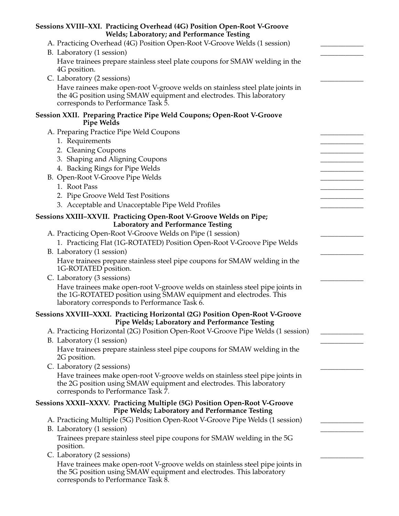| Sessions XVIII-XXI. Practicing Overhead (4G) Position Open-Root V-Groove<br>Welds; Laboratory; and Performance Testing                                                                              |  |
|-----------------------------------------------------------------------------------------------------------------------------------------------------------------------------------------------------|--|
| A. Practicing Overhead (4G) Position Open-Root V-Groove Welds (1 session)                                                                                                                           |  |
| B. Laboratory (1 session)                                                                                                                                                                           |  |
| Have trainees prepare stainless steel plate coupons for SMAW welding in the<br>4G position.                                                                                                         |  |
| C. Laboratory (2 sessions)                                                                                                                                                                          |  |
| Have rainees make open-root V-groove welds on stainless steel plate joints in<br>the 4G position using SMAW equipment and electrodes. This laboratory<br>corresponds to Performance Task 5.         |  |
| Session XXII. Preparing Practice Pipe Weld Coupons; Open-Root V-Groove<br><b>Pipe Welds</b>                                                                                                         |  |
| A. Preparing Practice Pipe Weld Coupons                                                                                                                                                             |  |
| 1. Requirements                                                                                                                                                                                     |  |
| 2. Cleaning Coupons                                                                                                                                                                                 |  |
| 3. Shaping and Aligning Coupons                                                                                                                                                                     |  |
| 4. Backing Rings for Pipe Welds                                                                                                                                                                     |  |
| B. Open-Root V-Groove Pipe Welds                                                                                                                                                                    |  |
| 1. Root Pass                                                                                                                                                                                        |  |
| 2. Pipe Groove Weld Test Positions                                                                                                                                                                  |  |
| 3. Acceptable and Unacceptable Pipe Weld Profiles                                                                                                                                                   |  |
| Sessions XXIII-XXVII. Practicing Open-Root V-Groove Welds on Pipe;<br><b>Laboratory and Performance Testing</b>                                                                                     |  |
| A. Practicing Open-Root V-Groove Welds on Pipe (1 session)                                                                                                                                          |  |
| 1. Practicing Flat (1G-ROTATED) Position Open-Root V-Groove Pipe Welds                                                                                                                              |  |
| B. Laboratory (1 session)                                                                                                                                                                           |  |
| Have trainees prepare stainless steel pipe coupons for SMAW welding in the<br>1G-ROTATED position.                                                                                                  |  |
| C. Laboratory (3 sessions)                                                                                                                                                                          |  |
| Have trainees make open-root V-groove welds on stainless steel pipe joints in<br>the 1G-ROTATED position using SMAW equipment and electrodes. This<br>laboratory corresponds to Performance Task 6. |  |
| Sessions XXVIII-XXXI. Practicing Horizontal (2G) Position Open-Root V-Groove<br>Pipe Welds; Laboratory and Performance Testing                                                                      |  |
| A. Practicing Horizontal (2G) Position Open-Root V-Groove Pipe Welds (1 session)<br>B. Laboratory (1 session)                                                                                       |  |
| Have trainees prepare stainless steel pipe coupons for SMAW welding in the<br>2G position.                                                                                                          |  |
| C. Laboratory (2 sessions)                                                                                                                                                                          |  |
| Have trainees make open-root V-groove welds on stainless steel pipe joints in<br>the 2G position using SMAW equipment and electrodes. This laboratory<br>corresponds to Performance Task 7.         |  |
| Sessions XXXII-XXXV. Practicing Multiple (5G) Position Open-Root V-Groove<br>Pipe Welds; Laboratory and Performance Testing                                                                         |  |
| A. Practicing Multiple (5G) Position Open-Root V-Groove Pipe Welds (1 session)                                                                                                                      |  |
| B. Laboratory (1 session)                                                                                                                                                                           |  |
| Trainees prepare stainless steel pipe coupons for SMAW welding in the 5G<br>position.                                                                                                               |  |
| C. Laboratory (2 sessions)                                                                                                                                                                          |  |
| Have trainees make open-root V-groove welds on stainless steel pipe joints in<br>the 5G position using SMAW equipment and electrodes. This laboratory                                               |  |

corresponds to Performance Task 8.